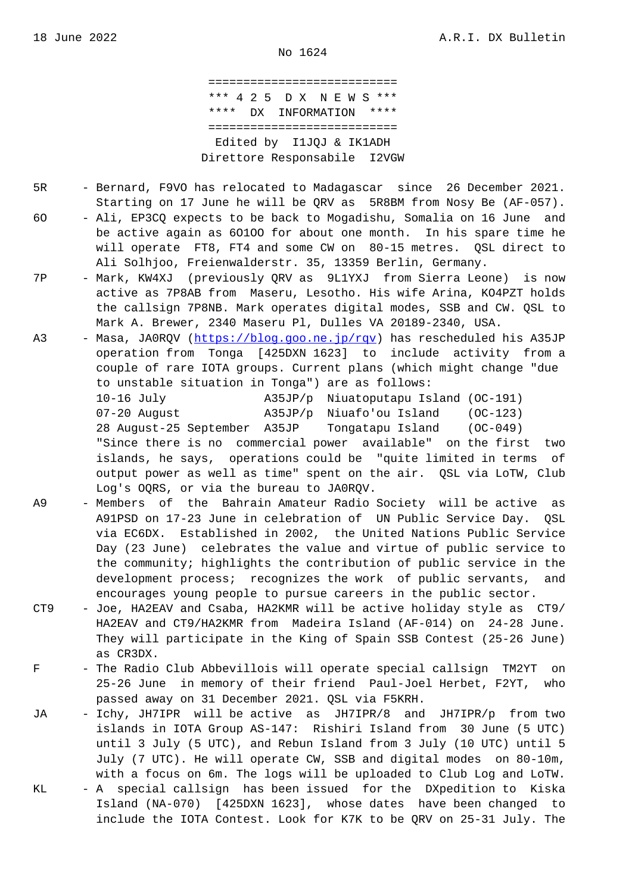=========================== \*\*\* 4 2 5 D X N E W S \*\*\* \*\*\*\* DX INFORMATION \*\*\*\* =========================== Edited by I1JQJ & IK1ADH Direttore Responsabile I2VGW

- 5R Bernard, F9VO has relocated to Madagascar since 26 December 2021. Starting on 17 June he will be QRV as 5R8BM from Nosy Be (AF-057).
- 6O Ali, EP3CQ expects to be back to Mogadishu, Somalia on 16 June and be active again as 6O1OO for about one month. In his spare time he will operate FT8, FT4 and some CW on 80-15 metres. QSL direct to Ali Solhjoo, Freienwalderstr. 35, 13359 Berlin, Germany.
- 7P Mark, KW4XJ (previously QRV as 9L1YXJ from Sierra Leone) is now active as 7P8AB from Maseru, Lesotho. His wife Arina, KO4PZT holds the callsign 7P8NB. Mark operates digital modes, SSB and CW. QSL to Mark A. Brewer, 2340 Maseru Pl, Dulles VA 20189-2340, USA.
- A3 Masa, JA0RQV (https://blog.goo.ne.jp/rqv) has rescheduled his A35JP operation from Tonga [425DXN 1623] to include activity from a couple of rare IOTA groups. Current plans (which might change "due to unstable situation in Tonga") are as follows: 10-16 July [A35JP/p Niuatopu](https://blog.goo.ne.jp/rqv)tapu Island (OC-191) 07-20 August A35JP/p Niuafo'ou Island (OC-123) 28 August-25 September A35JP Tongatapu Island (OC-049)

 "Since there is no commercial power available" on the first two islands, he says, operations could be "quite limited in terms of output power as well as time" spent on the air. QSL via LoTW, Club Log's OQRS, or via the bureau to JA0RQV.

- A9 Members of the Bahrain Amateur Radio Society will be active as A91PSD on 17-23 June in celebration of UN Public Service Day. QSL via EC6DX. Established in 2002, the United Nations Public Service Day (23 June) celebrates the value and virtue of public service to the community; highlights the contribution of public service in the development process; recognizes the work of public servants, and encourages young people to pursue careers in the public sector.
- CT9 Joe, HA2EAV and Csaba, HA2KMR will be active holiday style as CT9/ HA2EAV and CT9/HA2KMR from Madeira Island (AF-014) on 24-28 June. They will participate in the King of Spain SSB Contest (25-26 June) as CR3DX.
- F The Radio Club Abbevillois will operate special callsign TM2YT on 25-26 June in memory of their friend Paul-Joel Herbet, F2YT, who passed away on 31 December 2021. QSL via F5KRH.
- JA Ichy, JH7IPR will be active as JH7IPR/8 and JH7IPR/p from two islands in IOTA Group AS-147: Rishiri Island from 30 June (5 UTC) until 3 July (5 UTC), and Rebun Island from 3 July (10 UTC) until 5 July (7 UTC). He will operate CW, SSB and digital modes on 80-10m, with a focus on 6m. The logs will be uploaded to Club Log and LoTW.
- KL A special callsign has been issued for the DXpedition to Kiska Island (NA-070) [425DXN 1623], whose dates have been changed to include the IOTA Contest. Look for K7K to be QRV on 25-31 July. The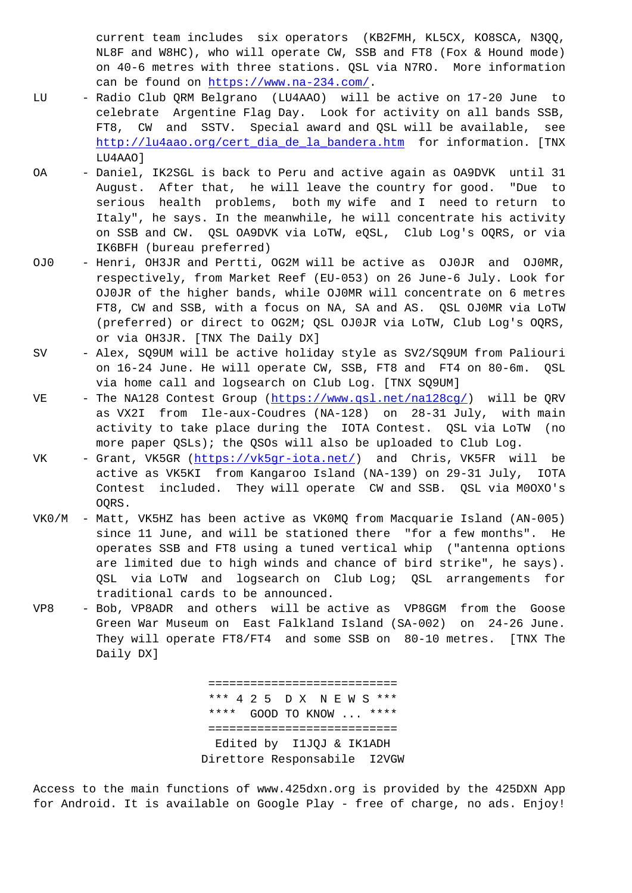NL8F and W8HC), who will operate CW, SSB and FT8 (Fox & Hound mode) on 40-6 metres with three stations. QSL via N7RO. More information can be found on https://www.na-234.com/.

- LU Radio Club QRM Belgrano (LU4AAO) will be active on 17-20 June to celebrate Argentine Flag Day. Look for activity on all bands SSB, FT8, CW and SSTV. Special award and QSL will be available, see http://lu4aao.org/cert dia de la bandera.htm for information. [TNX LU4AAO]
- OA Daniel, IK2SGL is back to Peru and active again as OA9DVK until 31 [August. After that, he will leave the count](http://lu4aao.org/cert_dia_de_la_bandera.htm)ry for good. "Due to serious health problems, both my wife and I need to return to Italy", he says. In the meanwhile, he will concentrate his activity on SSB and CW. QSL OA9DVK via LoTW, eQSL, Club Log's OQRS, or via IK6BFH (bureau preferred)
- OJ0 Henri, OH3JR and Pertti, OG2M will be active as OJ0JR and OJ0MR, respectively, from Market Reef (EU-053) on 26 June-6 July. Look for OJ0JR of the higher bands, while OJ0MR will concentrate on 6 metres FT8, CW and SSB, with a focus on NA, SA and AS. QSL OJ0MR via LoTW (preferred) or direct to OG2M; QSL OJ0JR via LoTW, Club Log's OQRS, or via OH3JR. [TNX The Daily DX]
- SV Alex, SQ9UM will be active holiday style as SV2/SQ9UM from Paliouri on 16-24 June. He will operate CW, SSB, FT8 and FT4 on 80-6m. QSL via home call and logsearch on Club Log. [TNX SQ9UM]
- VE The NA128 Contest Group (https://www.qsl.net/na128cg/) will be QRV as VX2I from Ile-aux-Coudres (NA-128) on 28-31 July, with main activity to take place during the IOTA Contest. QSL via LoTW (no more paper QSLs); the QSO[s will also be uploaded to C](https://www.qsl.net/na128cg/)lub Log.
- VK Grant, VK5GR (https://vk5qr-iota.net/) and Chris, VK5FR will be active as VK5KI from Kangaroo Island (NA-139) on 29-31 July, IOTA Contest included. They will operate CW and SSB. QSL via M0OXO's OQRS.
- VK0/M Matt, VK5HZ ha[s been active as VK0MQ f](https://vk5gr-iota.net/)rom Macquarie Island (AN-005) since 11 June, and will be stationed there "for a few months". He operates SSB and FT8 using a tuned vertical whip ("antenna options are limited due to high winds and chance of bird strike", he says). QSL via LoTW and logsearch on Club Log; QSL arrangements for traditional cards to be announced.
- VP8 Bob, VP8ADR and others will be active as VP8GGM from the Goose Green War Museum on East Falkland Island (SA-002) on 24-26 June. They will operate FT8/FT4 and some SSB on 80-10 metres. [TNX The Daily DX]

 =========================== \*\*\* 4 2 5 D X N E W S \*\*\* \*\*\*\* GOOD TO KNOW ... \*\*\*\* =========================== Edited by I1JQJ & IK1ADH Direttore Responsabile I2VGW

Access to the main functions of www.425dxn.org is provided by the 425DXN App for Android. It is available on Google Play - free of charge, no ads. Enjoy!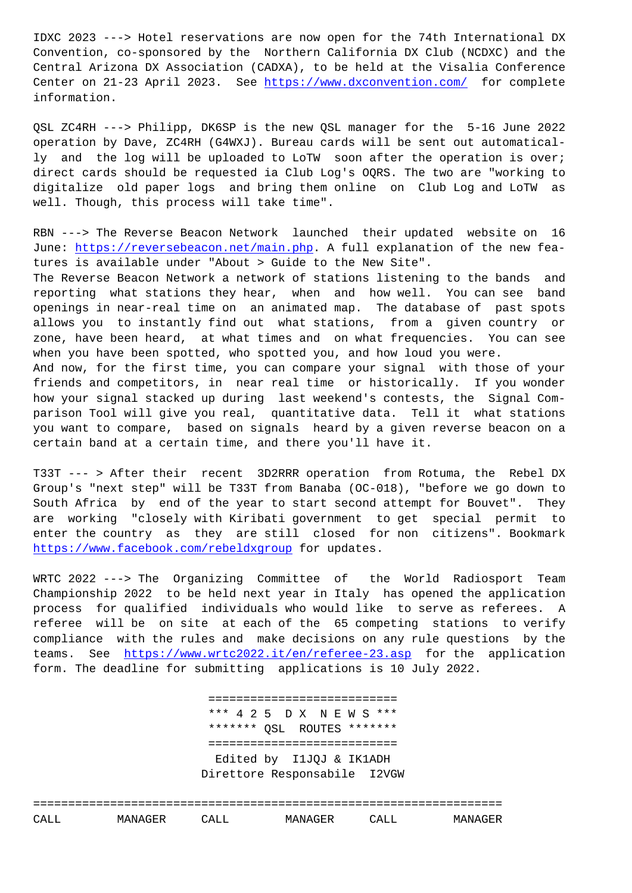Convention, co-sponsored by the Northern California DX Club (NCDXC) and the Central Arizona DX Association (CADXA), to be held at the Visalia Conference Center on 21-23 April 2023. See https://www.dxconvention.com/ for complete information.

QSL ZC4RH ---> Philipp, DK6SP is the new QSL manager for the 5-16 June 2022 operation by Dave, ZC4RH (G4WXJ). [Bureau cards will be sent ou](https://www.dxconvention.com/)t automatically and the log will be uploaded to LoTW soon after the operation is over; direct cards should be requested ia Club Log's OQRS. The two are "working to digitalize old paper logs and bring them online on Club Log and LoTW as well. Though, this process will take time".

RBN ---> The Reverse Beacon Network launched their updated website on 16 June: https://reversebeacon.net/main.php. A full explanation of the new features is available under "About > Guide to the New Site".

The Reverse Beacon Network a network of stations listening to the bands and report[ing what stations they hear, whe](https://reversebeacon.net/main.php)n and how well. You can see band openings in near-real time on an animated map. The database of past spots allows you to instantly find out what stations, from a given country or zone, have been heard, at what times and on what frequencies. You can see when you have been spotted, who spotted you, and how loud you were.

And now, for the first time, you can compare your signal with those of your friends and competitors, in near real time or historically. If you wonder how your signal stacked up during last weekend's contests, the Signal Comparison Tool will give you real, quantitative data. Tell it what stations you want to compare, based on signals heard by a given reverse beacon on a certain band at a certain time, and there you'll have it.

T33T --- > After their recent 3D2RRR operation from Rotuma, the Rebel DX Group's "next step" will be T33T from Banaba (OC-018), "before we go down to South Africa by end of the year to start second attempt for Bouvet". They are working "closely with Kiribati government to get special permit to enter the country as they are still closed for non citizens". Bookmark https://www.facebook.com/rebeldxgroup for updates.

WRTC 2022 ---> The Organizing Committee of the World Radiosport Team Championship 2022 to be held next year in Italy has opened the application [process for qualified individuals w](https://www.facebook.com/rebeldxgroup)ho would like to serve as referees. A referee will be on site at each of the 65 competing stations to verify compliance with the rules and make decisions on any rule questions by the teams. See https://www.wrtc2022.it/en/referee-23.asp for the application form. The deadline for submitting applications is 10 July 2022.

> [===========================](https://www.wrtc2022.it/en/referee-23.asp) \*\*\* 4 2 5 D X N E W S \*\*\* \*\*\*\*\*\*\* QSL ROUTES \*\*\*\*\*\*\* =========================== Edited by I1JQJ & IK1ADH Direttore Responsabile I2VGW

=================================================================== CALL MANAGER CALL MANAGER CALL MANAGER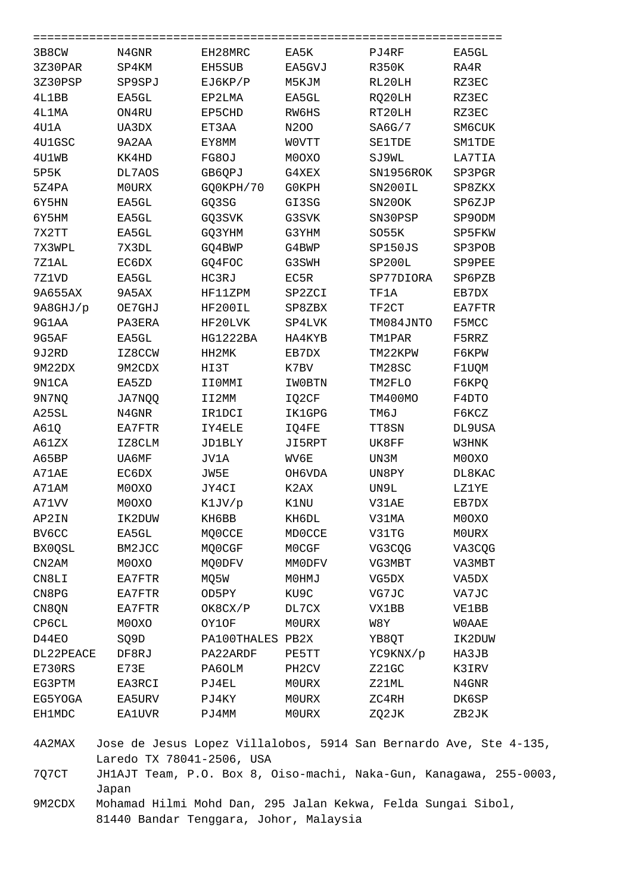| 3B8CW         | N4GNR        | EH28MRC       | EA5K               | PJ4RF         | EA5GL         |
|---------------|--------------|---------------|--------------------|---------------|---------------|
| 3Z30PAR       | SP4KM        | EH5SUB        | EA5GVJ             | <b>R350K</b>  | RA4R          |
| 3Z30PSP       | SP9SPJ       | EJ6KP/P       | M5KJM              | RL20LH        | RZ3EC         |
| 4L1BB         | EA5GL        | EP2LMA        | EA5GL              | RQ20LH        | RZ3EC         |
| 4L1MA         | ON4RU        | EP5CHD        | RW6HS              | RT20LH        | RZ3EC         |
| 4U1A          | UA3DX        | ET3AA         | N200               | SAGG/7        | SM6CUK        |
| 4U1GSC        | 9A2AA        | EY8MM         | WOVTT              | <b>SE1TDE</b> | <b>SM1TDE</b> |
| 4U1WB         | KK4HD        | FG8OJ         | M0OXO              | SJ9WL         | LA7TIA        |
| 5P5K          | DL7AOS       | GB6QPJ        | G4XEX              | SN1956ROK     | SP3PGR        |
| 5Z4PA         | <b>MOURX</b> | GO0KPH/70     | <b>GOKPH</b>       | SN200IL       | SP8ZKX        |
| 6Y5HN         | EA5GL        | GQ3SG         | GI3SG              | SN20OK        | SP6ZJP        |
| 6Y5HM         | EA5GL        | GQ3SVK        | G3SVK              | SN30PSP       | SP9ODM        |
| 7X2TT         | EA5GL        | GQ3YHM        | G3YHM              | SO55K         | SP5FKW        |
| 7X3WPL        | 7X3DL        | GQ4BWP        | G4BWP              | SP150JS       | SP3POB        |
| 7Z1AL         | EC6DX        | GQ4FOC        | G3SWH              | SP200L        | SP9PEE        |
| 7Z1VD         | EA5GL        | HC3RJ         | EC5R               | SP77DIORA     | SP6PZB        |
| 9A655AX       | 9A5AX        | HF11ZPM       | SP2ZCI             | TF1A          | EB7DX         |
| 9A8GHJ/p      | OE7GHJ       | HF200IL       | SP8ZBX             | TF2CT         | EA7FTR        |
| 9G1AA         | PA3ERA       | HF20LVK       | SP4LVK             | TM084JNTO     | F5MCC         |
| 9G5AF         | EA5GL        | HG1222BA      | HA4KYB             | <b>TM1PAR</b> | F5RRZ         |
| 9J2RD         | IZ8CCW       | HH2MK         | EB7DX              | TM22KPW       | F6KPW         |
| 9M22DX        | 9M2CDX       | HI3T          | K7BV               | TM28SC        | F1UQM         |
| 9N1CA         | EA5ZD        | IIOMMI        | IW0BTN             | TM2FLO        | F6KPQ         |
| 9N7NQ         | JA7NQQ       | II2MM         | IQ2CF              | TM400MO       | F4DTO         |
| A25SL         | N4GNR        | IR1DCI        | IK1GPG             | TM6J          | F6KCZ         |
| A61Q          | EA7FTR       | IY4ELE        | IQ4FE              | TT8SN         | DL9USA        |
| A61ZX         | IZ8CLM       | <b>JD1BLY</b> | JI5RPT             | UK8FF         | W3HNK         |
| A65BP         | UA6MF        | JV1A          | WV6E               | UN3M          | M0OXO         |
| A71AE         | EC6DX        | JW5E          | OH6VDA             | UN8PY         | DL8KAC        |
| A71AM         | M0OXO        | JY4CI         | K2AX               | UN9L          | LZ1YE         |
| A71VV         | M0OXO        | K1JV/p        | K1NU               | V31AE         | EB7DX         |
| AP2IN         | IK2DUW       | KH6BB         | KH6DL              | V31MA         | M0OXO         |
| BV6CC         | EA5GL        | MQ0CCE        | <b>MDOCCE</b>      | V31TG         | <b>MOURX</b>  |
| BX0QSL        | BM2JCC       | MQ0CGF        | M0CGF              | VG3CQG        | VA3CQG        |
| CN2AM         | M0OXO        | MQ0DFV        | MMODFV             | VG3MBT        | VA3MBT        |
| CN8LI         | EA7FTR       | MQ5W          | M0HMJ              | VG5DX         | VA5DX         |
| CN8PG         | EA7FTR       | OD5PY         | KU9C               | VG7JC         | VA7JC         |
| CN8QN         | EA7FTR       | OK8CX/P       | DL7CX              | VX1BB         | VE1BB         |
| <b>CP6CL</b>  | M0OXO        | OY1OF         | MOURX              | W8Y           | <b>WOAAE</b>  |
| D44EO         | SQ9D         | PA100THALES   | PB2X               | YB8QT         | IK2DUW        |
| DL22PEACE     | DF8RJ        | PA22ARDF      | PE5TT              | YC9KNX/p      | HA3JB         |
| E730RS        | E73E         | PA6OLM        | PH <sub>2</sub> CV | Z21GC         | K3IRV         |
| EG3PTM        | EA3RCI       | PJ4EL         | MOURX              | Z21ML         | N4GNR         |
| EG5YOGA       | EA5URV       | PJ4KY         | MOURX              | ZC4RH         | DK6SP         |
| <b>EH1MDC</b> | EA1UVR       | PJ4MM         | M0URX              | ZQ2JK         | ZB2JK         |

4A2MAX Jose de Jesus Lopez Villalobos, 5914 San Bernardo Ave, Ste 4-135, Laredo TX 78041-2506, USA

7Q7CT JH1AJT Team, P.O. Box 8, Oiso-machi, Naka-Gun, Kanagawa, 255-0003, Japan

9M2CDX Mohamad Hilmi Mohd Dan, 295 Jalan Kekwa, Felda Sungai Sibol, 81440 Bandar Tenggara, Johor, Malaysia